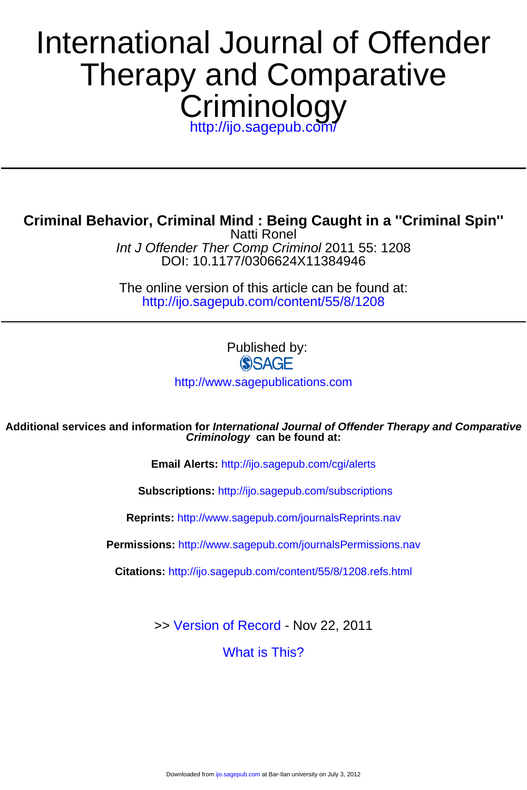# **Criminology** Therapy and Comparative International Journal of Offender

<http://ijo.sagepub.com/>

# **Criminal Behavior, Criminal Mind : Being Caught in a ''Criminal Spin''**

DOI: 10.1177/0306624X11384946 Int J Offender Ther Comp Criminol 2011 55: 1208 Natti Ronel

<http://ijo.sagepub.com/content/55/8/1208> The online version of this article can be found at:

Published by:<br>
SAGE

<http://www.sagepublications.com>

**Criminology can be found at: Additional services and information for International Journal of Offender Therapy and Comparative**

**Email Alerts:** <http://ijo.sagepub.com/cgi/alerts>

**Subscriptions:** <http://ijo.sagepub.com/subscriptions>

**Reprints:** <http://www.sagepub.com/journalsReprints.nav>

**Permissions:** <http://www.sagepub.com/journalsPermissions.nav>

**Citations:** <http://ijo.sagepub.com/content/55/8/1208.refs.html>

>> [Version of Record -](http://ijo.sagepub.com/content/55/8/1208.full.pdf) Nov 22, 2011

[What is This?](http://online.sagepub.com/site/sphelp/vorhelp.xhtml)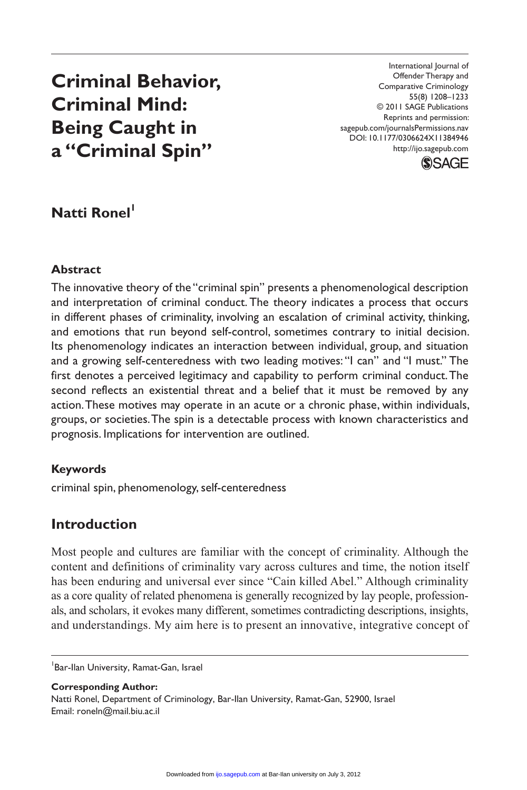# **Criminal Behavior, Criminal Mind: Being Caught in a "Criminal Spin"**

International Journal of Offender Therapy and Comparative Criminology 55(8) 1208–1233 © 2011 SAGE Publications Reprints and permission: sagepub.com/journalsPermissions.nav DOI: 10.1177/0306624X11384946 http://ijo.sagepub.com



# **Natti Ronel**

#### **Abstract**

The innovative theory of the "criminal spin" presents a phenomenological description and interpretation of criminal conduct. The theory indicates a process that occurs in different phases of criminality, involving an escalation of criminal activity, thinking, and emotions that run beyond self-control, sometimes contrary to initial decision. Its phenomenology indicates an interaction between individual, group, and situation and a growing self-centeredness with two leading motives: "I can" and "I must." The first denotes a perceived legitimacy and capability to perform criminal conduct. The second reflects an existential threat and a belief that it must be removed by any action. These motives may operate in an acute or a chronic phase, within individuals, groups, or societies. The spin is a detectable process with known characteristics and prognosis. Implications for intervention are outlined.

#### **Keywords**

criminal spin, phenomenology, self-centeredness

# **Introduction**

Most people and cultures are familiar with the concept of criminality. Although the content and definitions of criminality vary across cultures and time, the notion itself has been enduring and universal ever since "Cain killed Abel." Although criminality as a core quality of related phenomena is generally recognized by lay people, professionals, and scholars, it evokes many different, sometimes contradicting descriptions, insights, and understandings. My aim here is to present an innovative, integrative concept of

<sup>1</sup> Bar-Ilan University, Ramat-Gan, Israel

**Corresponding Author:**

Natti Ronel, Department of Criminology, Bar-Ilan University, Ramat-Gan, 52900, Israel Email: roneln@mail.biu.ac.il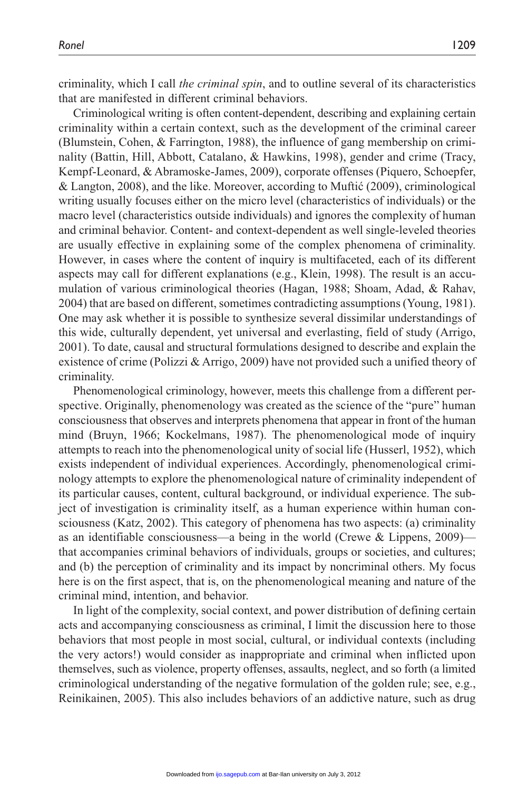criminality, which I call *the criminal spin*, and to outline several of its characteristics that are manifested in different criminal behaviors.

Criminological writing is often content-dependent, describing and explaining certain criminality within a certain context, such as the development of the criminal career (Blumstein, Cohen, & Farrington, 1988), the influence of gang membership on criminality (Battin, Hill, Abbott, Catalano, & Hawkins, 1998), gender and crime (Tracy, Kempf-Leonard, & Abramoske-James, 2009), corporate offenses (Piquero, Schoepfer, & Langton, 2008), and the like. Moreover, according to Muftić (2009), criminological writing usually focuses either on the micro level (characteristics of individuals) or the macro level (characteristics outside individuals) and ignores the complexity of human and criminal behavior. Content- and context-dependent as well single-leveled theories are usually effective in explaining some of the complex phenomena of criminality. However, in cases where the content of inquiry is multifaceted, each of its different aspects may call for different explanations (e.g., Klein, 1998). The result is an accumulation of various criminological theories (Hagan, 1988; Shoam, Adad, & Rahav, 2004) that are based on different, sometimes contradicting assumptions (Young, 1981). One may ask whether it is possible to synthesize several dissimilar understandings of this wide, culturally dependent, yet universal and everlasting, field of study (Arrigo, 2001). To date, causal and structural formulations designed to describe and explain the existence of crime (Polizzi & Arrigo, 2009) have not provided such a unified theory of criminality.

Phenomenological criminology, however, meets this challenge from a different perspective. Originally, phenomenology was created as the science of the "pure" human consciousness that observes and interprets phenomena that appear in front of the human mind (Bruyn, 1966; Kockelmans, 1987). The phenomenological mode of inquiry attempts to reach into the phenomenological unity of social life (Husserl, 1952), which exists independent of individual experiences. Accordingly, phenomenological criminology attempts to explore the phenomenological nature of criminality independent of its particular causes, content, cultural background, or individual experience. The subject of investigation is criminality itself, as a human experience within human consciousness (Katz, 2002). This category of phenomena has two aspects: (a) criminality as an identifiable consciousness—a being in the world (Crewe & Lippens, 2009) that accompanies criminal behaviors of individuals, groups or societies, and cultures; and (b) the perception of criminality and its impact by noncriminal others. My focus here is on the first aspect, that is, on the phenomenological meaning and nature of the criminal mind, intention, and behavior.

In light of the complexity, social context, and power distribution of defining certain acts and accompanying consciousness as criminal, I limit the discussion here to those behaviors that most people in most social, cultural, or individual contexts (including the very actors!) would consider as inappropriate and criminal when inflicted upon themselves, such as violence, property offenses, assaults, neglect, and so forth (a limited criminological understanding of the negative formulation of the golden rule; see, e.g., Reinikainen, 2005). This also includes behaviors of an addictive nature, such as drug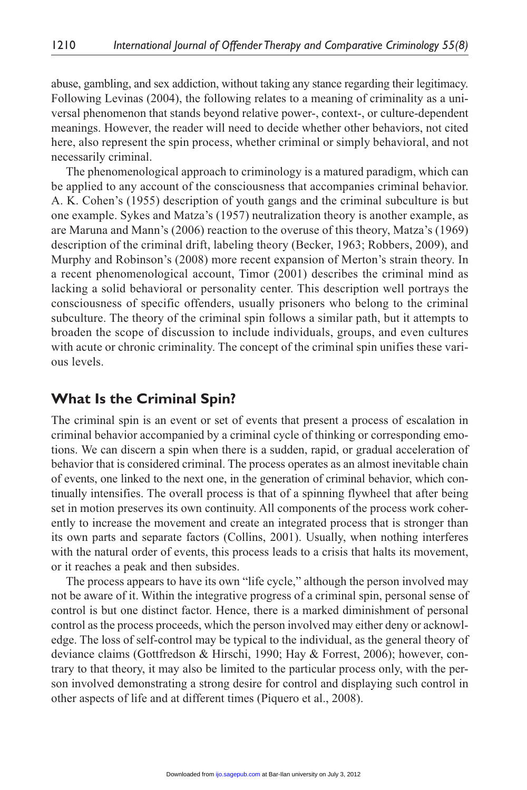abuse, gambling, and sex addiction, without taking any stance regarding their legitimacy. Following Levinas (2004), the following relates to a meaning of criminality as a universal phenomenon that stands beyond relative power-, context-, or culture-dependent meanings. However, the reader will need to decide whether other behaviors, not cited here, also represent the spin process, whether criminal or simply behavioral, and not necessarily criminal.

The phenomenological approach to criminology is a matured paradigm, which can be applied to any account of the consciousness that accompanies criminal behavior. A. K. Cohen's (1955) description of youth gangs and the criminal subculture is but one example. Sykes and Matza's (1957) neutralization theory is another example, as are Maruna and Mann's (2006) reaction to the overuse of this theory, Matza's (1969) description of the criminal drift, labeling theory (Becker, 1963; Robbers, 2009), and Murphy and Robinson's (2008) more recent expansion of Merton's strain theory. In a recent phenomenological account, Timor (2001) describes the criminal mind as lacking a solid behavioral or personality center. This description well portrays the consciousness of specific offenders, usually prisoners who belong to the criminal subculture. The theory of the criminal spin follows a similar path, but it attempts to broaden the scope of discussion to include individuals, groups, and even cultures with acute or chronic criminality. The concept of the criminal spin unifies these various levels.

# **What Is the Criminal Spin?**

The criminal spin is an event or set of events that present a process of escalation in criminal behavior accompanied by a criminal cycle of thinking or corresponding emotions. We can discern a spin when there is a sudden, rapid, or gradual acceleration of behavior that is considered criminal. The process operates as an almost inevitable chain of events, one linked to the next one, in the generation of criminal behavior, which continually intensifies. The overall process is that of a spinning flywheel that after being set in motion preserves its own continuity. All components of the process work coherently to increase the movement and create an integrated process that is stronger than its own parts and separate factors (Collins, 2001). Usually, when nothing interferes with the natural order of events, this process leads to a crisis that halts its movement, or it reaches a peak and then subsides.

The process appears to have its own "life cycle," although the person involved may not be aware of it. Within the integrative progress of a criminal spin, personal sense of control is but one distinct factor. Hence, there is a marked diminishment of personal control as the process proceeds, which the person involved may either deny or acknowledge. The loss of self-control may be typical to the individual, as the general theory of deviance claims (Gottfredson & Hirschi, 1990; Hay & Forrest, 2006); however, contrary to that theory, it may also be limited to the particular process only, with the person involved demonstrating a strong desire for control and displaying such control in other aspects of life and at different times (Piquero et al., 2008).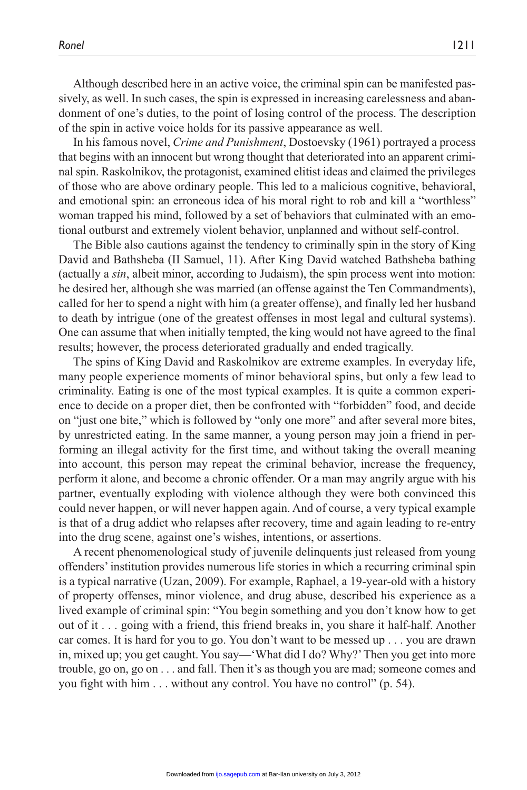Although described here in an active voice, the criminal spin can be manifested passively, as well. In such cases, the spin is expressed in increasing carelessness and abandonment of one's duties, to the point of losing control of the process. The description of the spin in active voice holds for its passive appearance as well.

In his famous novel, *Crime and Punishment*, Dostoevsky (1961) portrayed a process that begins with an innocent but wrong thought that deteriorated into an apparent criminal spin. Raskolnikov, the protagonist, examined elitist ideas and claimed the privileges of those who are above ordinary people. This led to a malicious cognitive, behavioral, and emotional spin: an erroneous idea of his moral right to rob and kill a "worthless" woman trapped his mind, followed by a set of behaviors that culminated with an emotional outburst and extremely violent behavior, unplanned and without self-control.

The Bible also cautions against the tendency to criminally spin in the story of King David and Bathsheba (II Samuel, 11). After King David watched Bathsheba bathing (actually a *sin*, albeit minor, according to Judaism), the spin process went into motion: he desired her, although she was married (an offense against the Ten Commandments), called for her to spend a night with him (a greater offense), and finally led her husband to death by intrigue (one of the greatest offenses in most legal and cultural systems). One can assume that when initially tempted, the king would not have agreed to the final results; however, the process deteriorated gradually and ended tragically.

The spins of King David and Raskolnikov are extreme examples. In everyday life, many people experience moments of minor behavioral spins, but only a few lead to criminality. Eating is one of the most typical examples. It is quite a common experience to decide on a proper diet, then be confronted with "forbidden" food, and decide on "just one bite," which is followed by "only one more" and after several more bites, by unrestricted eating. In the same manner, a young person may join a friend in performing an illegal activity for the first time, and without taking the overall meaning into account, this person may repeat the criminal behavior, increase the frequency, perform it alone, and become a chronic offender. Or a man may angrily argue with his partner, eventually exploding with violence although they were both convinced this could never happen, or will never happen again. And of course, a very typical example is that of a drug addict who relapses after recovery, time and again leading to re-entry into the drug scene, against one's wishes, intentions, or assertions.

A recent phenomenological study of juvenile delinquents just released from young offenders' institution provides numerous life stories in which a recurring criminal spin is a typical narrative (Uzan, 2009). For example, Raphael, a 19-year-old with a history of property offenses, minor violence, and drug abuse, described his experience as a lived example of criminal spin: "You begin something and you don't know how to get out of it . . . going with a friend, this friend breaks in, you share it half-half. Another car comes. It is hard for you to go. You don't want to be messed up . . . you are drawn in, mixed up; you get caught. You say—'What did I do? Why?' Then you get into more trouble, go on, go on . . . and fall. Then it's as though you are mad; someone comes and you fight with him . . . without any control. You have no control" (p. 54).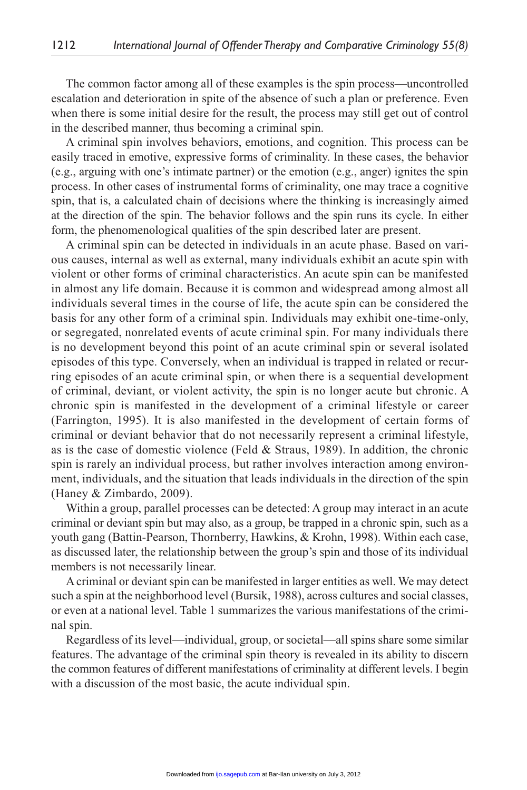The common factor among all of these examples is the spin process—uncontrolled escalation and deterioration in spite of the absence of such a plan or preference. Even when there is some initial desire for the result, the process may still get out of control in the described manner, thus becoming a criminal spin.

A criminal spin involves behaviors, emotions, and cognition. This process can be easily traced in emotive, expressive forms of criminality. In these cases, the behavior (e.g., arguing with one's intimate partner) or the emotion (e.g., anger) ignites the spin process. In other cases of instrumental forms of criminality, one may trace a cognitive spin, that is, a calculated chain of decisions where the thinking is increasingly aimed at the direction of the spin. The behavior follows and the spin runs its cycle. In either form, the phenomenological qualities of the spin described later are present.

A criminal spin can be detected in individuals in an acute phase. Based on various causes, internal as well as external, many individuals exhibit an acute spin with violent or other forms of criminal characteristics. An acute spin can be manifested in almost any life domain. Because it is common and widespread among almost all individuals several times in the course of life, the acute spin can be considered the basis for any other form of a criminal spin. Individuals may exhibit one-time-only, or segregated, nonrelated events of acute criminal spin. For many individuals there is no development beyond this point of an acute criminal spin or several isolated episodes of this type. Conversely, when an individual is trapped in related or recurring episodes of an acute criminal spin, or when there is a sequential development of criminal, deviant, or violent activity, the spin is no longer acute but chronic. A chronic spin is manifested in the development of a criminal lifestyle or career (Farrington, 1995). It is also manifested in the development of certain forms of criminal or deviant behavior that do not necessarily represent a criminal lifestyle, as is the case of domestic violence (Feld  $&$  Straus, 1989). In addition, the chronic spin is rarely an individual process, but rather involves interaction among environment, individuals, and the situation that leads individuals in the direction of the spin (Haney & Zimbardo, 2009).

Within a group, parallel processes can be detected: A group may interact in an acute criminal or deviant spin but may also, as a group, be trapped in a chronic spin, such as a youth gang (Battin-Pearson, Thornberry, Hawkins, & Krohn, 1998). Within each case, as discussed later, the relationship between the group's spin and those of its individual members is not necessarily linear.

A criminal or deviant spin can be manifested in larger entities as well. We may detect such a spin at the neighborhood level (Bursik, 1988), across cultures and social classes, or even at a national level. Table 1 summarizes the various manifestations of the criminal spin.

Regardless of its level—individual, group, or societal—all spins share some similar features. The advantage of the criminal spin theory is revealed in its ability to discern the common features of different manifestations of criminality at different levels. I begin with a discussion of the most basic, the acute individual spin.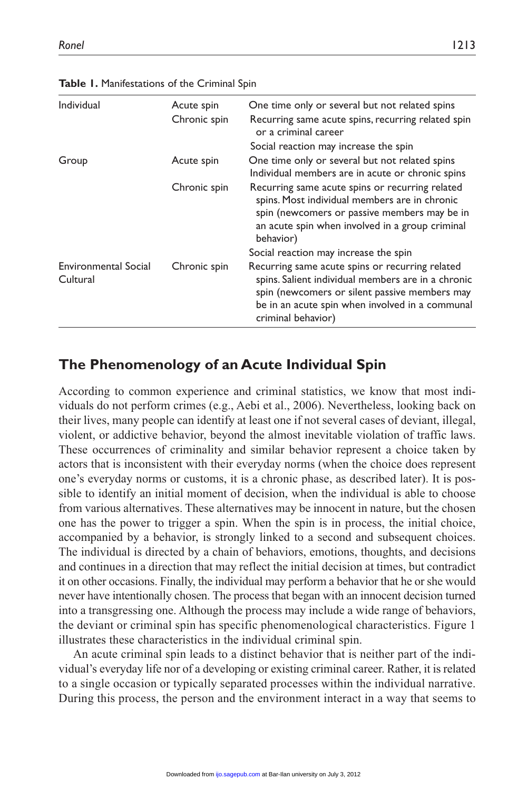| Individual                              | Acute spin   | One time only or several but not related spins                                                                                                                                                                                  |
|-----------------------------------------|--------------|---------------------------------------------------------------------------------------------------------------------------------------------------------------------------------------------------------------------------------|
|                                         | Chronic spin | Recurring same acute spins, recurring related spin<br>or a criminal career                                                                                                                                                      |
|                                         |              | Social reaction may increase the spin                                                                                                                                                                                           |
| Group                                   | Acute spin   | One time only or several but not related spins<br>Individual members are in acute or chronic spins                                                                                                                              |
|                                         | Chronic spin | Recurring same acute spins or recurring related<br>spins. Most individual members are in chronic<br>spin (newcomers or passive members may be in<br>an acute spin when involved in a group criminal<br>behavior)                |
|                                         |              | Social reaction may increase the spin                                                                                                                                                                                           |
| <b>Environmental Social</b><br>Cultural | Chronic spin | Recurring same acute spins or recurring related<br>spins. Salient individual members are in a chronic<br>spin (newcomers or silent passive members may<br>be in an acute spin when involved in a communal<br>criminal behavior) |

**Table 1.** Manifestations of the Criminal Spin

## **The Phenomenology of an Acute Individual Spin**

According to common experience and criminal statistics, we know that most individuals do not perform crimes (e.g., Aebi et al., 2006). Nevertheless, looking back on their lives, many people can identify at least one if not several cases of deviant, illegal, violent, or addictive behavior, beyond the almost inevitable violation of traffic laws. These occurrences of criminality and similar behavior represent a choice taken by actors that is inconsistent with their everyday norms (when the choice does represent one's everyday norms or customs, it is a chronic phase, as described later). It is possible to identify an initial moment of decision, when the individual is able to choose from various alternatives. These alternatives may be innocent in nature, but the chosen one has the power to trigger a spin. When the spin is in process, the initial choice, accompanied by a behavior, is strongly linked to a second and subsequent choices. The individual is directed by a chain of behaviors, emotions, thoughts, and decisions and continues in a direction that may reflect the initial decision at times, but contradict it on other occasions. Finally, the individual may perform a behavior that he or she would never have intentionally chosen. The process that began with an innocent decision turned into a transgressing one. Although the process may include a wide range of behaviors, the deviant or criminal spin has specific phenomenological characteristics. Figure 1 illustrates these characteristics in the individual criminal spin.

An acute criminal spin leads to a distinct behavior that is neither part of the individual's everyday life nor of a developing or existing criminal career. Rather, it is related to a single occasion or typically separated processes within the individual narrative. During this process, the person and the environment interact in a way that seems to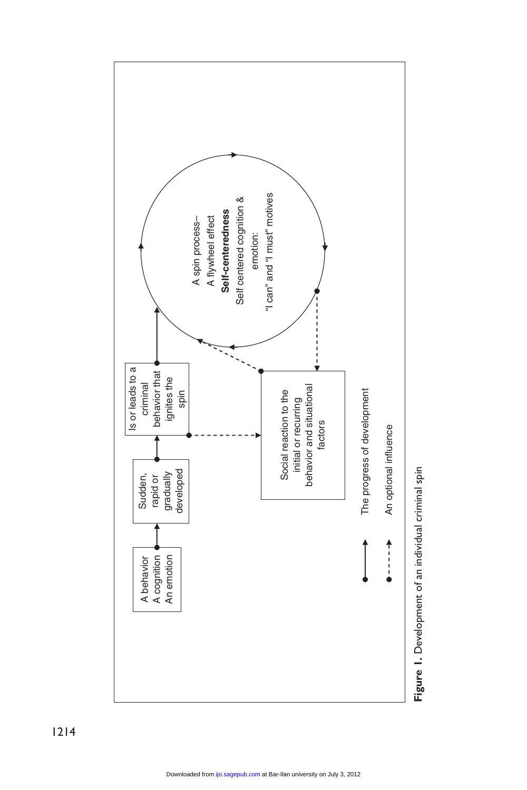

Figure 1. Development of an individual criminal spin **Figure 1.** Development of an individual criminal spin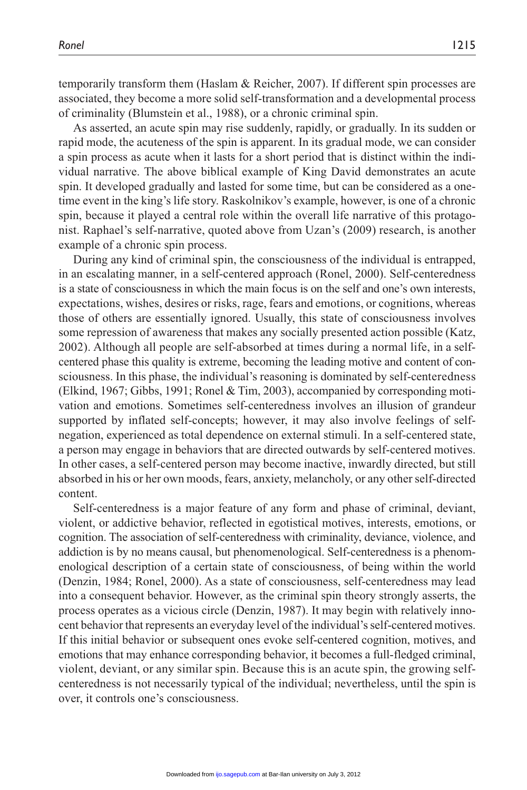temporarily transform them (Haslam & Reicher, 2007). If different spin processes are associated, they become a more solid self-transformation and a developmental process of criminality (Blumstein et al., 1988), or a chronic criminal spin.

As asserted, an acute spin may rise suddenly, rapidly, or gradually. In its sudden or rapid mode, the acuteness of the spin is apparent. In its gradual mode, we can consider a spin process as acute when it lasts for a short period that is distinct within the individual narrative. The above biblical example of King David demonstrates an acute spin. It developed gradually and lasted for some time, but can be considered as a onetime event in the king's life story. Raskolnikov's example, however, is one of a chronic spin, because it played a central role within the overall life narrative of this protagonist. Raphael's self-narrative, quoted above from Uzan's (2009) research, is another example of a chronic spin process.

During any kind of criminal spin, the consciousness of the individual is entrapped, in an escalating manner, in a self-centered approach (Ronel, 2000). Self-centeredness is a state of consciousness in which the main focus is on the self and one's own interests, expectations, wishes, desires or risks, rage, fears and emotions, or cognitions, whereas those of others are essentially ignored. Usually, this state of consciousness involves some repression of awareness that makes any socially presented action possible (Katz, 2002). Although all people are self-absorbed at times during a normal life, in a selfcentered phase this quality is extreme, becoming the leading motive and content of consciousness. In this phase, the individual's reasoning is dominated by self-centeredness (Elkind, 1967; Gibbs, 1991; Ronel & Tim, 2003), accompanied by corresponding motivation and emotions. Sometimes self-centeredness involves an illusion of grandeur supported by inflated self-concepts; however, it may also involve feelings of selfnegation, experienced as total dependence on external stimuli. In a self-centered state, a person may engage in behaviors that are directed outwards by self-centered motives. In other cases, a self-centered person may become inactive, inwardly directed, but still absorbed in his or her own moods, fears, anxiety, melancholy, or any other self-directed content.

Self-centeredness is a major feature of any form and phase of criminal, deviant, violent, or addictive behavior, reflected in egotistical motives, interests, emotions, or cognition. The association of self-centeredness with criminality, deviance, violence, and addiction is by no means causal, but phenomenological. Self-centeredness is a phenomenological description of a certain state of consciousness, of being within the world (Denzin, 1984; Ronel, 2000). As a state of consciousness, self-centeredness may lead into a consequent behavior. However, as the criminal spin theory strongly asserts, the process operates as a vicious circle (Denzin, 1987). It may begin with relatively innocent behavior that represents an everyday level of the individual's self-centered motives. If this initial behavior or subsequent ones evoke self-centered cognition, motives, and emotions that may enhance corresponding behavior, it becomes a full-fledged criminal, violent, deviant, or any similar spin. Because this is an acute spin, the growing selfcenteredness is not necessarily typical of the individual; nevertheless, until the spin is over, it controls one's consciousness.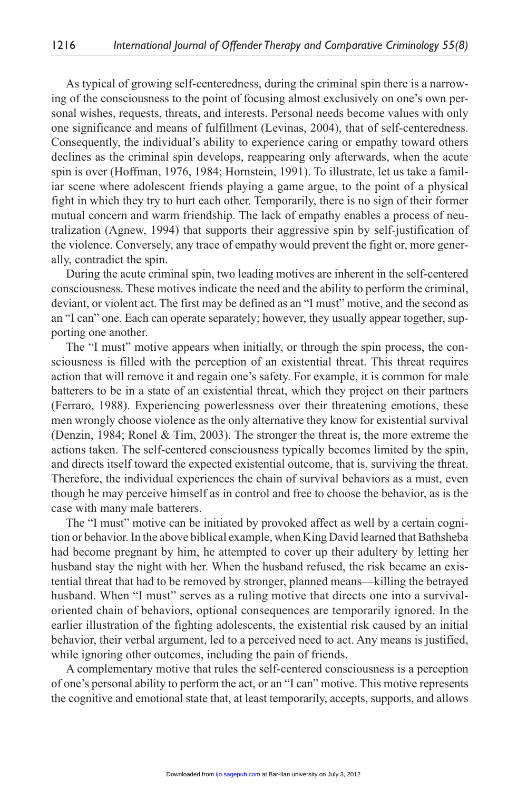As typical of growing self-centeredness, during the criminal spin there is a narrowing of the consciousness to the point of focusing almost exclusively on one's own personal wishes, requests, threats, and interests. Personal needs become values with only one significance and means of fulfillment (Levinas, 2004), that of self-centeredness. Consequently, the individual's ability to experience caring or empathy toward others declines as the criminal spin develops, reappearing only afterwards, when the acute spin is over (Hoffman, 1976, 1984; Hornstein, 1991). To illustrate, let us take a familiar scene where adolescent friends playing a game argue, to the point of a physical fight in which they try to hurt each other. Temporarily, there is no sign of their former mutual concern and warm friendship. The lack of empathy enables a process of neutralization (Agnew, 1994) that supports their aggressive spin by self-justification of the violence. Conversely, any trace of empathy would prevent the fight or, more generally, contradict the spin.

During the acute criminal spin, two leading motives are inherent in the self-centered consciousness. These motives indicate the need and the ability to perform the criminal, deviant, or violent act. The first may be defined as an "I must" motive, and the second as an "I can" one. Each can operate separately; however, they usually appear together, supporting one another.

The "I must" motive appears when initially, or through the spin process, the consciousness is filled with the perception of an existential threat. This threat requires action that will remove it and regain one's safety. For example, it is common for male batterers to be in a state of an existential threat, which they project on their partners (Ferraro, 1988). Experiencing powerlessness over their threatening emotions, these men wrongly choose violence as the only alternative they know for existential survival (Denzin, 1984; Ronel & Tim, 2003). The stronger the threat is, the more extreme the actions taken. The self-centered consciousness typically becomes limited by the spin, and directs itself toward the expected existential outcome, that is, surviving the threat. Therefore, the individual experiences the chain of survival behaviors as a must, even though he may perceive himself as in control and free to choose the behavior, as is the case with many male batterers.

The "I must" motive can be initiated by provoked affect as well by a certain cognition or behavior. In the above biblical example, when King David learned that Bathsheba had become pregnant by him, he attempted to cover up their adultery by letting her husband stay the night with her. When the husband refused, the risk became an existential threat that had to be removed by stronger, planned means—killing the betrayed husband. When "I must" serves as a ruling motive that directs one into a survivaloriented chain of behaviors, optional consequences are temporarily ignored. In the earlier illustration of the fighting adolescents, the existential risk caused by an initial behavior, their verbal argument, led to a perceived need to act. Any means is justified, while ignoring other outcomes, including the pain of friends.

A complementary motive that rules the self-centered consciousness is a perception of one's personal ability to perform the act, or an "I can" motive. This motive represents the cognitive and emotional state that, at least temporarily, accepts, supports, and allows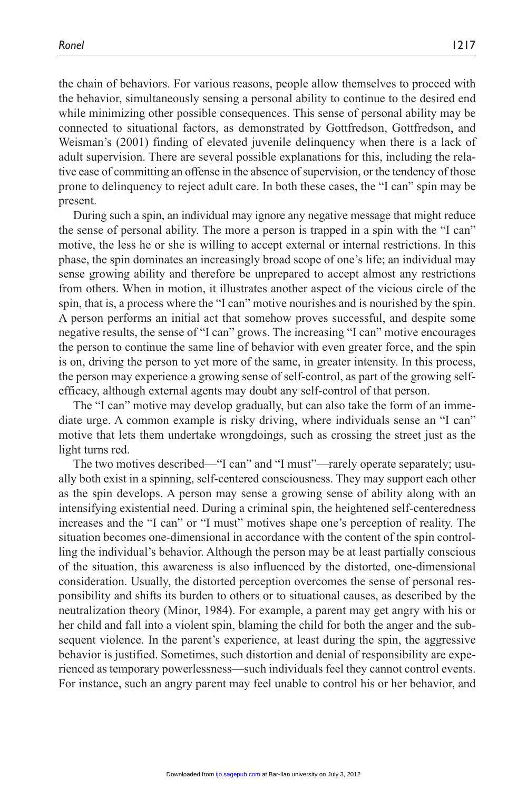the chain of behaviors. For various reasons, people allow themselves to proceed with the behavior, simultaneously sensing a personal ability to continue to the desired end while minimizing other possible consequences. This sense of personal ability may be connected to situational factors, as demonstrated by Gottfredson, Gottfredson, and Weisman's (2001) finding of elevated juvenile delinquency when there is a lack of adult supervision. There are several possible explanations for this, including the relative ease of committing an offense in the absence of supervision, or the tendency of those prone to delinquency to reject adult care. In both these cases, the "I can" spin may be present.

During such a spin, an individual may ignore any negative message that might reduce the sense of personal ability. The more a person is trapped in a spin with the "I can" motive, the less he or she is willing to accept external or internal restrictions. In this phase, the spin dominates an increasingly broad scope of one's life; an individual may sense growing ability and therefore be unprepared to accept almost any restrictions from others. When in motion, it illustrates another aspect of the vicious circle of the spin, that is, a process where the "I can" motive nourishes and is nourished by the spin. A person performs an initial act that somehow proves successful, and despite some negative results, the sense of "I can" grows. The increasing "I can" motive encourages the person to continue the same line of behavior with even greater force, and the spin is on, driving the person to yet more of the same, in greater intensity. In this process, the person may experience a growing sense of self-control, as part of the growing selfefficacy, although external agents may doubt any self-control of that person.

The "I can" motive may develop gradually, but can also take the form of an immediate urge. A common example is risky driving, where individuals sense an "I can" motive that lets them undertake wrongdoings, such as crossing the street just as the light turns red.

The two motives described—"I can" and "I must"—rarely operate separately; usually both exist in a spinning, self-centered consciousness. They may support each other as the spin develops. A person may sense a growing sense of ability along with an intensifying existential need. During a criminal spin, the heightened self-centeredness increases and the "I can" or "I must" motives shape one's perception of reality. The situation becomes one-dimensional in accordance with the content of the spin controlling the individual's behavior. Although the person may be at least partially conscious of the situation, this awareness is also influenced by the distorted, one-dimensional consideration. Usually, the distorted perception overcomes the sense of personal responsibility and shifts its burden to others or to situational causes, as described by the neutralization theory (Minor, 1984). For example, a parent may get angry with his or her child and fall into a violent spin, blaming the child for both the anger and the subsequent violence. In the parent's experience, at least during the spin, the aggressive behavior is justified. Sometimes, such distortion and denial of responsibility are experienced as temporary powerlessness—such individuals feel they cannot control events. For instance, such an angry parent may feel unable to control his or her behavior, and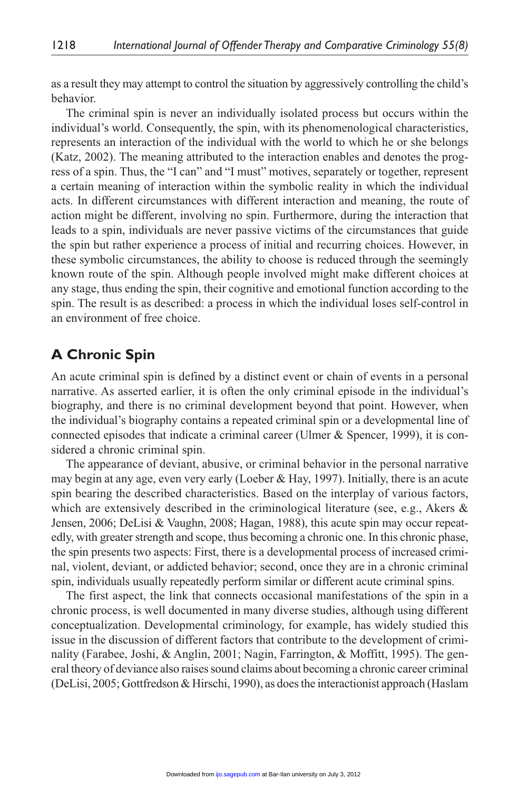as a result they may attempt to control the situation by aggressively controlling the child's behavior.

The criminal spin is never an individually isolated process but occurs within the individual's world. Consequently, the spin, with its phenomenological characteristics, represents an interaction of the individual with the world to which he or she belongs (Katz, 2002). The meaning attributed to the interaction enables and denotes the progress of a spin. Thus, the "I can" and "I must" motives, separately or together, represent a certain meaning of interaction within the symbolic reality in which the individual acts. In different circumstances with different interaction and meaning, the route of action might be different, involving no spin. Furthermore, during the interaction that leads to a spin, individuals are never passive victims of the circumstances that guide the spin but rather experience a process of initial and recurring choices. However, in these symbolic circumstances, the ability to choose is reduced through the seemingly known route of the spin. Although people involved might make different choices at any stage, thus ending the spin, their cognitive and emotional function according to the spin. The result is as described: a process in which the individual loses self-control in an environment of free choice.

# **A Chronic Spin**

An acute criminal spin is defined by a distinct event or chain of events in a personal narrative. As asserted earlier, it is often the only criminal episode in the individual's biography, and there is no criminal development beyond that point. However, when the individual's biography contains a repeated criminal spin or a developmental line of connected episodes that indicate a criminal career (Ulmer & Spencer, 1999), it is considered a chronic criminal spin.

The appearance of deviant, abusive, or criminal behavior in the personal narrative may begin at any age, even very early (Loeber & Hay, 1997). Initially, there is an acute spin bearing the described characteristics. Based on the interplay of various factors, which are extensively described in the criminological literature (see, e.g., Akers  $\&$ Jensen, 2006; DeLisi & Vaughn, 2008; Hagan, 1988), this acute spin may occur repeatedly, with greater strength and scope, thus becoming a chronic one. In this chronic phase, the spin presents two aspects: First, there is a developmental process of increased criminal, violent, deviant, or addicted behavior; second, once they are in a chronic criminal spin, individuals usually repeatedly perform similar or different acute criminal spins.

The first aspect, the link that connects occasional manifestations of the spin in a chronic process, is well documented in many diverse studies, although using different conceptualization. Developmental criminology, for example, has widely studied this issue in the discussion of different factors that contribute to the development of criminality (Farabee, Joshi, & Anglin, 2001; Nagin, Farrington, & Moffitt, 1995). The general theory of deviance also raises sound claims about becoming a chronic career criminal (DeLisi, 2005; Gottfredson & Hirschi, 1990), as does the interactionist approach (Haslam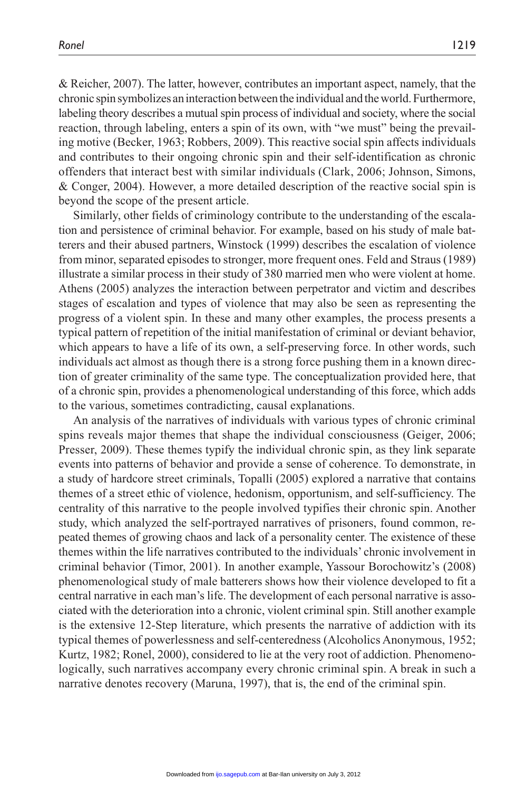& Reicher, 2007). The latter, however, contributes an important aspect, namely, that the chronic spin symbolizes an interaction between the individual and the world. Furthermore, labeling theory describes a mutual spin process of individual and society, where the social reaction, through labeling, enters a spin of its own, with "we must" being the prevailing motive (Becker, 1963; Robbers, 2009). This reactive social spin affects individuals and contributes to their ongoing chronic spin and their self-identification as chronic offenders that interact best with similar individuals (Clark, 2006; Johnson, Simons, & Conger, 2004). However, a more detailed description of the reactive social spin is beyond the scope of the present article.

Similarly, other fields of criminology contribute to the understanding of the escalation and persistence of criminal behavior. For example, based on his study of male batterers and their abused partners, Winstock (1999) describes the escalation of violence from minor, separated episodes to stronger, more frequent ones. Feld and Straus (1989) illustrate a similar process in their study of 380 married men who were violent at home. Athens (2005) analyzes the interaction between perpetrator and victim and describes stages of escalation and types of violence that may also be seen as representing the progress of a violent spin. In these and many other examples, the process presents a typical pattern of repetition of the initial manifestation of criminal or deviant behavior, which appears to have a life of its own, a self-preserving force. In other words, such individuals act almost as though there is a strong force pushing them in a known direction of greater criminality of the same type. The conceptualization provided here, that of a chronic spin, provides a phenomenological understanding of this force, which adds to the various, sometimes contradicting, causal explanations.

An analysis of the narratives of individuals with various types of chronic criminal spins reveals major themes that shape the individual consciousness (Geiger, 2006; Presser, 2009). These themes typify the individual chronic spin, as they link separate events into patterns of behavior and provide a sense of coherence. To demonstrate, in a study of hardcore street criminals, Topalli (2005) explored a narrative that contains themes of a street ethic of violence, hedonism, opportunism, and self-sufficiency. The centrality of this narrative to the people involved typifies their chronic spin. Another study, which analyzed the self-portrayed narratives of prisoners, found common, repeated themes of growing chaos and lack of a personality center. The existence of these themes within the life narratives contributed to the individuals' chronic involvement in criminal behavior (Timor, 2001). In another example, Yassour Borochowitz's (2008) phenomenological study of male batterers shows how their violence developed to fit a central narrative in each man's life. The development of each personal narrative is associated with the deterioration into a chronic, violent criminal spin. Still another example is the extensive 12-Step literature, which presents the narrative of addiction with its typical themes of powerlessness and self-centeredness (Alcoholics Anonymous, 1952; Kurtz, 1982; Ronel, 2000), considered to lie at the very root of addiction. Phenomenologically, such narratives accompany every chronic criminal spin. A break in such a narrative denotes recovery (Maruna, 1997), that is, the end of the criminal spin.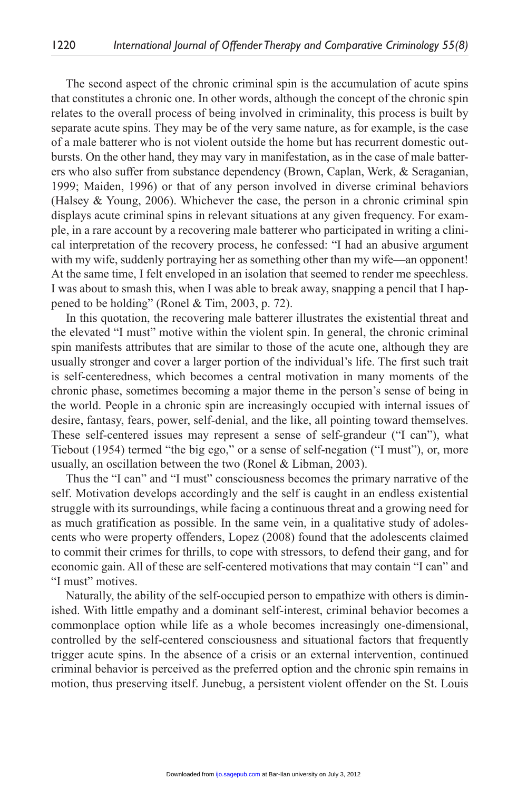The second aspect of the chronic criminal spin is the accumulation of acute spins that constitutes a chronic one. In other words, although the concept of the chronic spin relates to the overall process of being involved in criminality, this process is built by separate acute spins. They may be of the very same nature, as for example, is the case of a male batterer who is not violent outside the home but has recurrent domestic outbursts. On the other hand, they may vary in manifestation, as in the case of male batterers who also suffer from substance dependency (Brown, Caplan, Werk, & Seraganian, 1999; Maiden, 1996) or that of any person involved in diverse criminal behaviors (Halsey & Young, 2006). Whichever the case, the person in a chronic criminal spin displays acute criminal spins in relevant situations at any given frequency. For example, in a rare account by a recovering male batterer who participated in writing a clinical interpretation of the recovery process, he confessed: "I had an abusive argument with my wife, suddenly portraying her as something other than my wife—an opponent! At the same time, I felt enveloped in an isolation that seemed to render me speechless. I was about to smash this, when I was able to break away, snapping a pencil that I happened to be holding" (Ronel & Tim, 2003, p. 72).

In this quotation, the recovering male batterer illustrates the existential threat and the elevated "I must" motive within the violent spin. In general, the chronic criminal spin manifests attributes that are similar to those of the acute one, although they are usually stronger and cover a larger portion of the individual's life. The first such trait is self-centeredness, which becomes a central motivation in many moments of the chronic phase, sometimes becoming a major theme in the person's sense of being in the world. People in a chronic spin are increasingly occupied with internal issues of desire, fantasy, fears, power, self-denial, and the like, all pointing toward themselves. These self-centered issues may represent a sense of self-grandeur ("I can"), what Tiebout (1954) termed "the big ego," or a sense of self-negation ("I must"), or, more usually, an oscillation between the two (Ronel & Libman, 2003).

Thus the "I can" and "I must" consciousness becomes the primary narrative of the self. Motivation develops accordingly and the self is caught in an endless existential struggle with its surroundings, while facing a continuous threat and a growing need for as much gratification as possible. In the same vein, in a qualitative study of adolescents who were property offenders, Lopez (2008) found that the adolescents claimed to commit their crimes for thrills, to cope with stressors, to defend their gang, and for economic gain. All of these are self-centered motivations that may contain "I can" and "I must" motives.

Naturally, the ability of the self-occupied person to empathize with others is diminished. With little empathy and a dominant self-interest, criminal behavior becomes a commonplace option while life as a whole becomes increasingly one-dimensional, controlled by the self-centered consciousness and situational factors that frequently trigger acute spins. In the absence of a crisis or an external intervention, continued criminal behavior is perceived as the preferred option and the chronic spin remains in motion, thus preserving itself. Junebug, a persistent violent offender on the St. Louis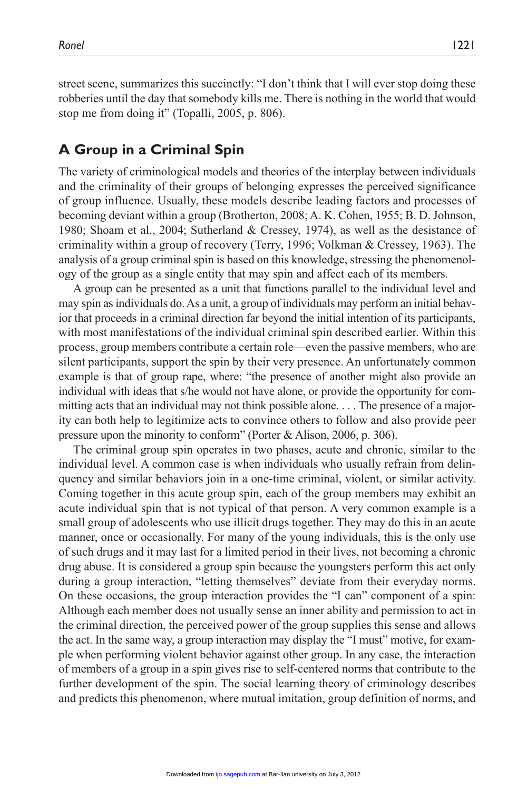street scene, summarizes this succinctly: "I don't think that I will ever stop doing these robberies until the day that somebody kills me. There is nothing in the world that would stop me from doing it" (Topalli, 2005, p. 806).

# **A Group in a Criminal Spin**

The variety of criminological models and theories of the interplay between individuals and the criminality of their groups of belonging expresses the perceived significance of group influence. Usually, these models describe leading factors and processes of becoming deviant within a group (Brotherton, 2008; A. K. Cohen, 1955; B. D. Johnson, 1980; Shoam et al., 2004; Sutherland & Cressey, 1974), as well as the desistance of criminality within a group of recovery (Terry, 1996; Volkman & Cressey, 1963). The analysis of a group criminal spin is based on this knowledge, stressing the phenomenology of the group as a single entity that may spin and affect each of its members.

A group can be presented as a unit that functions parallel to the individual level and may spin as individuals do. As a unit, a group of individuals may perform an initial behavior that proceeds in a criminal direction far beyond the initial intention of its participants, with most manifestations of the individual criminal spin described earlier. Within this process, group members contribute a certain role—even the passive members, who are silent participants, support the spin by their very presence. An unfortunately common example is that of group rape, where: "the presence of another might also provide an individual with ideas that s/he would not have alone, or provide the opportunity for committing acts that an individual may not think possible alone. . . . The presence of a majority can both help to legitimize acts to convince others to follow and also provide peer pressure upon the minority to conform" (Porter & Alison, 2006, p. 306).

The criminal group spin operates in two phases, acute and chronic, similar to the individual level. A common case is when individuals who usually refrain from delinquency and similar behaviors join in a one-time criminal, violent, or similar activity. Coming together in this acute group spin, each of the group members may exhibit an acute individual spin that is not typical of that person. A very common example is a small group of adolescents who use illicit drugs together. They may do this in an acute manner, once or occasionally. For many of the young individuals, this is the only use of such drugs and it may last for a limited period in their lives, not becoming a chronic drug abuse. It is considered a group spin because the youngsters perform this act only during a group interaction, "letting themselves" deviate from their everyday norms. On these occasions, the group interaction provides the "I can" component of a spin: Although each member does not usually sense an inner ability and permission to act in the criminal direction, the perceived power of the group supplies this sense and allows the act. In the same way, a group interaction may display the "I must" motive, for example when performing violent behavior against other group. In any case, the interaction of members of a group in a spin gives rise to self-centered norms that contribute to the further development of the spin. The social learning theory of criminology describes and predicts this phenomenon, where mutual imitation, group definition of norms, and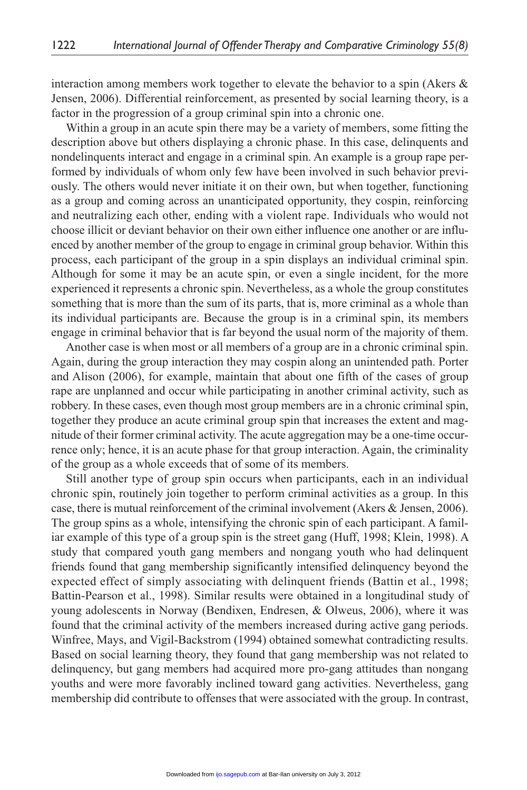interaction among members work together to elevate the behavior to a spin (Akers & Jensen, 2006). Differential reinforcement, as presented by social learning theory, is a factor in the progression of a group criminal spin into a chronic one.

Within a group in an acute spin there may be a variety of members, some fitting the description above but others displaying a chronic phase. In this case, delinquents and nondelinquents interact and engage in a criminal spin. An example is a group rape performed by individuals of whom only few have been involved in such behavior previously. The others would never initiate it on their own, but when together, functioning as a group and coming across an unanticipated opportunity, they cospin, reinforcing and neutralizing each other, ending with a violent rape. Individuals who would not choose illicit or deviant behavior on their own either influence one another or are influenced by another member of the group to engage in criminal group behavior. Within this process, each participant of the group in a spin displays an individual criminal spin. Although for some it may be an acute spin, or even a single incident, for the more experienced it represents a chronic spin. Nevertheless, as a whole the group constitutes something that is more than the sum of its parts, that is, more criminal as a whole than its individual participants are. Because the group is in a criminal spin, its members engage in criminal behavior that is far beyond the usual norm of the majority of them.

Another case is when most or all members of a group are in a chronic criminal spin. Again, during the group interaction they may cospin along an unintended path. Porter and Alison (2006), for example, maintain that about one fifth of the cases of group rape are unplanned and occur while participating in another criminal activity, such as robbery. In these cases, even though most group members are in a chronic criminal spin, together they produce an acute criminal group spin that increases the extent and magnitude of their former criminal activity. The acute aggregation may be a one-time occurrence only; hence, it is an acute phase for that group interaction. Again, the criminality of the group as a whole exceeds that of some of its members.

Still another type of group spin occurs when participants, each in an individual chronic spin, routinely join together to perform criminal activities as a group. In this case, there is mutual reinforcement of the criminal involvement (Akers & Jensen, 2006). The group spins as a whole, intensifying the chronic spin of each participant. A familiar example of this type of a group spin is the street gang (Huff, 1998; Klein, 1998). A study that compared youth gang members and nongang youth who had delinquent friends found that gang membership significantly intensified delinquency beyond the expected effect of simply associating with delinquent friends (Battin et al., 1998; Battin-Pearson et al., 1998). Similar results were obtained in a longitudinal study of young adolescents in Norway (Bendixen, Endresen, & Olweus, 2006), where it was found that the criminal activity of the members increased during active gang periods. Winfree, Mays, and Vigil-Backstrom (1994) obtained somewhat contradicting results. Based on social learning theory, they found that gang membership was not related to delinquency, but gang members had acquired more pro-gang attitudes than nongang youths and were more favorably inclined toward gang activities. Nevertheless, gang membership did contribute to offenses that were associated with the group. In contrast,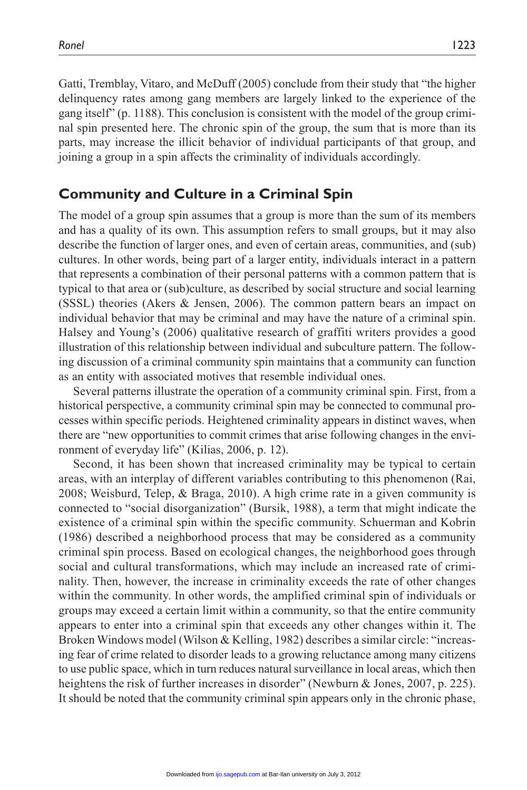Gatti, Tremblay, Vitaro, and McDuff (2005) conclude from their study that "the higher delinquency rates among gang members are largely linked to the experience of the gang itself" (p. 1188). This conclusion is consistent with the model of the group criminal spin presented here. The chronic spin of the group, the sum that is more than its parts, may increase the illicit behavior of individual participants of that group, and joining a group in a spin affects the criminality of individuals accordingly.

## **Community and Culture in a Criminal Spin**

The model of a group spin assumes that a group is more than the sum of its members and has a quality of its own. This assumption refers to small groups, but it may also describe the function of larger ones, and even of certain areas, communities, and (sub) cultures. In other words, being part of a larger entity, individuals interact in a pattern that represents a combination of their personal patterns with a common pattern that is typical to that area or (sub)culture, as described by social structure and social learning (SSSL) theories (Akers & Jensen, 2006). The common pattern bears an impact on individual behavior that may be criminal and may have the nature of a criminal spin. Halsey and Young's (2006) qualitative research of graffiti writers provides a good illustration of this relationship between individual and subculture pattern. The following discussion of a criminal community spin maintains that a community can function as an entity with associated motives that resemble individual ones.

Several patterns illustrate the operation of a community criminal spin. First, from a historical perspective, a community criminal spin may be connected to communal processes within specific periods. Heightened criminality appears in distinct waves, when there are "new opportunities to commit crimes that arise following changes in the environment of everyday life" (Kilias, 2006, p. 12).

Second, it has been shown that increased criminality may be typical to certain areas, with an interplay of different variables contributing to this phenomenon (Rai, 2008; Weisburd, Telep, & Braga, 2010). A high crime rate in a given community is connected to "social disorganization" (Bursik, 1988), a term that might indicate the existence of a criminal spin within the specific community. Schuerman and Kobrin (1986) described a neighborhood process that may be considered as a community criminal spin process. Based on ecological changes, the neighborhood goes through social and cultural transformations, which may include an increased rate of criminality. Then, however, the increase in criminality exceeds the rate of other changes within the community. In other words, the amplified criminal spin of individuals or groups may exceed a certain limit within a community, so that the entire community appears to enter into a criminal spin that exceeds any other changes within it. The Broken Windows model (Wilson & Kelling, 1982) describes a similar circle: "increasing fear of crime related to disorder leads to a growing reluctance among many citizens to use public space, which in turn reduces natural surveillance in local areas, which then heightens the risk of further increases in disorder" (Newburn & Jones, 2007, p. 225). It should be noted that the community criminal spin appears only in the chronic phase,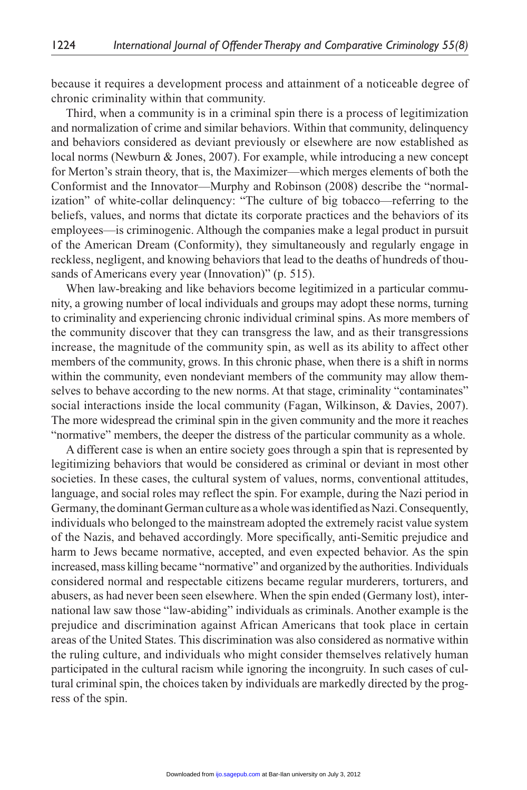because it requires a development process and attainment of a noticeable degree of chronic criminality within that community.

Third, when a community is in a criminal spin there is a process of legitimization and normalization of crime and similar behaviors. Within that community, delinquency and behaviors considered as deviant previously or elsewhere are now established as local norms (Newburn & Jones, 2007). For example, while introducing a new concept for Merton's strain theory, that is, the Maximizer—which merges elements of both the Conformist and the Innovator—Murphy and Robinson (2008) describe the "normalization" of white-collar delinquency: "The culture of big tobacco—referring to the beliefs, values, and norms that dictate its corporate practices and the behaviors of its employees—is criminogenic. Although the companies make a legal product in pursuit of the American Dream (Conformity), they simultaneously and regularly engage in reckless, negligent, and knowing behaviors that lead to the deaths of hundreds of thousands of Americans every year (Innovation)" (p. 515).

When law-breaking and like behaviors become legitimized in a particular community, a growing number of local individuals and groups may adopt these norms, turning to criminality and experiencing chronic individual criminal spins. As more members of the community discover that they can transgress the law, and as their transgressions increase, the magnitude of the community spin, as well as its ability to affect other members of the community, grows. In this chronic phase, when there is a shift in norms within the community, even nondeviant members of the community may allow themselves to behave according to the new norms. At that stage, criminality "contaminates" social interactions inside the local community (Fagan, Wilkinson, & Davies, 2007). The more widespread the criminal spin in the given community and the more it reaches "normative" members, the deeper the distress of the particular community as a whole.

A different case is when an entire society goes through a spin that is represented by legitimizing behaviors that would be considered as criminal or deviant in most other societies. In these cases, the cultural system of values, norms, conventional attitudes, language, and social roles may reflect the spin. For example, during the Nazi period in Germany, the dominant German culture as a whole was identified as Nazi. Consequently, individuals who belonged to the mainstream adopted the extremely racist value system of the Nazis, and behaved accordingly. More specifically, anti-Semitic prejudice and harm to Jews became normative, accepted, and even expected behavior. As the spin increased, mass killing became "normative" and organized by the authorities. Individuals considered normal and respectable citizens became regular murderers, torturers, and abusers, as had never been seen elsewhere. When the spin ended (Germany lost), international law saw those "law-abiding" individuals as criminals. Another example is the prejudice and discrimination against African Americans that took place in certain areas of the United States. This discrimination was also considered as normative within the ruling culture, and individuals who might consider themselves relatively human participated in the cultural racism while ignoring the incongruity. In such cases of cultural criminal spin, the choices taken by individuals are markedly directed by the progress of the spin.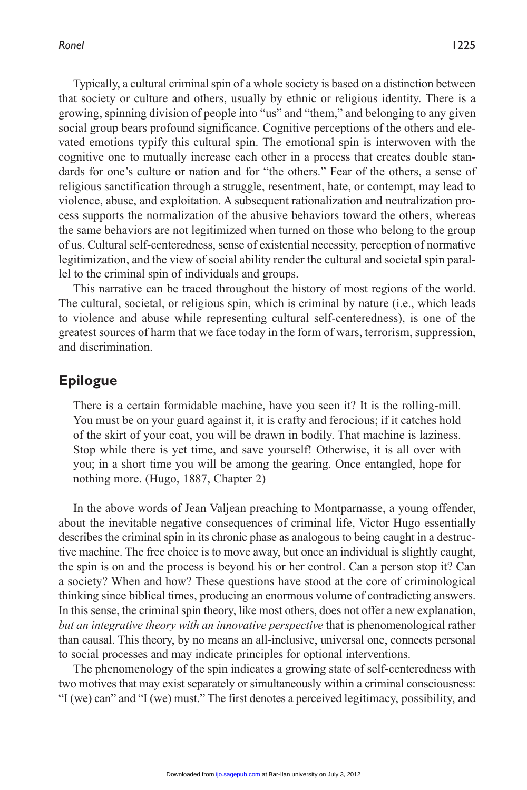Typically, a cultural criminal spin of a whole society is based on a distinction between that society or culture and others, usually by ethnic or religious identity. There is a growing, spinning division of people into "us" and "them," and belonging to any given social group bears profound significance. Cognitive perceptions of the others and elevated emotions typify this cultural spin. The emotional spin is interwoven with the cognitive one to mutually increase each other in a process that creates double standards for one's culture or nation and for "the others." Fear of the others, a sense of religious sanctification through a struggle, resentment, hate, or contempt, may lead to violence, abuse, and exploitation. A subsequent rationalization and neutralization process supports the normalization of the abusive behaviors toward the others, whereas the same behaviors are not legitimized when turned on those who belong to the group of us. Cultural self-centeredness, sense of existential necessity, perception of normative legitimization, and the view of social ability render the cultural and societal spin parallel to the criminal spin of individuals and groups.

This narrative can be traced throughout the history of most regions of the world. The cultural, societal, or religious spin, which is criminal by nature (i.e., which leads to violence and abuse while representing cultural self-centeredness), is one of the greatest sources of harm that we face today in the form of wars, terrorism, suppression, and discrimination.

#### **Epilogue**

There is a certain formidable machine, have you seen it? It is the rolling-mill. You must be on your guard against it, it is crafty and ferocious; if it catches hold of the skirt of your coat, you will be drawn in bodily. That machine is laziness. Stop while there is yet time, and save yourself! Otherwise, it is all over with you; in a short time you will be among the gearing. Once entangled, hope for nothing more. (Hugo, 1887, Chapter 2)

In the above words of Jean Valjean preaching to Montparnasse, a young offender, about the inevitable negative consequences of criminal life, Victor Hugo essentially describes the criminal spin in its chronic phase as analogous to being caught in a destructive machine. The free choice is to move away, but once an individual is slightly caught, the spin is on and the process is beyond his or her control. Can a person stop it? Can a society? When and how? These questions have stood at the core of criminological thinking since biblical times, producing an enormous volume of contradicting answers. In this sense, the criminal spin theory, like most others, does not offer a new explanation, *but an integrative theory with an innovative perspective* that is phenomenological rather than causal. This theory, by no means an all-inclusive, universal one, connects personal to social processes and may indicate principles for optional interventions.

The phenomenology of the spin indicates a growing state of self-centeredness with two motives that may exist separately or simultaneously within a criminal consciousness: "I (we) can" and "I (we) must." The first denotes a perceived legitimacy, possibility, and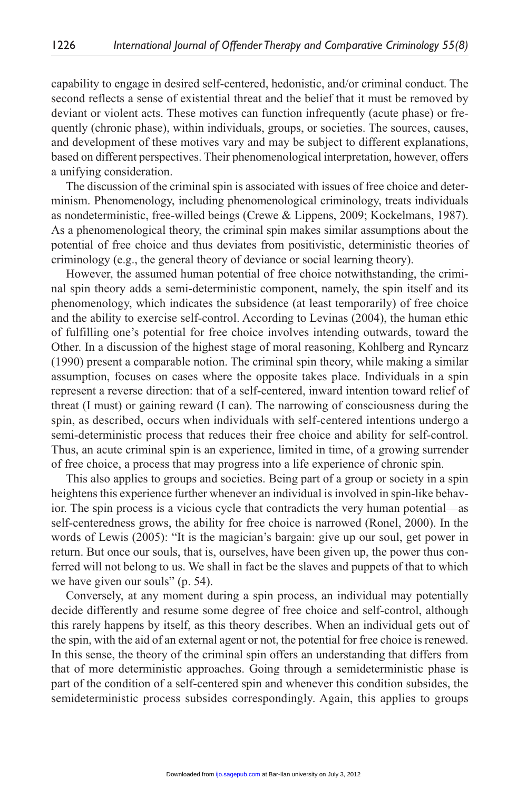capability to engage in desired self-centered, hedonistic, and/or criminal conduct. The second reflects a sense of existential threat and the belief that it must be removed by deviant or violent acts. These motives can function infrequently (acute phase) or frequently (chronic phase), within individuals, groups, or societies. The sources, causes, and development of these motives vary and may be subject to different explanations, based on different perspectives. Their phenomenological interpretation, however, offers a unifying consideration.

The discussion of the criminal spin is associated with issues of free choice and determinism. Phenomenology, including phenomenological criminology, treats individuals as nondeterministic, free-willed beings (Crewe & Lippens, 2009; Kockelmans, 1987). As a phenomenological theory, the criminal spin makes similar assumptions about the potential of free choice and thus deviates from positivistic, deterministic theories of criminology (e.g., the general theory of deviance or social learning theory).

However, the assumed human potential of free choice notwithstanding, the criminal spin theory adds a semi-deterministic component, namely, the spin itself and its phenomenology, which indicates the subsidence (at least temporarily) of free choice and the ability to exercise self-control. According to Levinas (2004), the human ethic of fulfilling one's potential for free choice involves intending outwards, toward the Other. In a discussion of the highest stage of moral reasoning, Kohlberg and Ryncarz (1990) present a comparable notion. The criminal spin theory, while making a similar assumption, focuses on cases where the opposite takes place. Individuals in a spin represent a reverse direction: that of a self-centered, inward intention toward relief of threat (I must) or gaining reward (I can). The narrowing of consciousness during the spin, as described, occurs when individuals with self-centered intentions undergo a semi-deterministic process that reduces their free choice and ability for self-control. Thus, an acute criminal spin is an experience, limited in time, of a growing surrender of free choice, a process that may progress into a life experience of chronic spin.

This also applies to groups and societies. Being part of a group or society in a spin heightens this experience further whenever an individual is involved in spin-like behavior. The spin process is a vicious cycle that contradicts the very human potential—as self-centeredness grows, the ability for free choice is narrowed (Ronel, 2000). In the words of Lewis (2005): "It is the magician's bargain: give up our soul, get power in return. But once our souls, that is, ourselves, have been given up, the power thus conferred will not belong to us. We shall in fact be the slaves and puppets of that to which we have given our souls" (p. 54).

Conversely, at any moment during a spin process, an individual may potentially decide differently and resume some degree of free choice and self-control, although this rarely happens by itself, as this theory describes. When an individual gets out of the spin, with the aid of an external agent or not, the potential for free choice is renewed. In this sense, the theory of the criminal spin offers an understanding that differs from that of more deterministic approaches. Going through a semideterministic phase is part of the condition of a self-centered spin and whenever this condition subsides, the semideterministic process subsides correspondingly. Again, this applies to groups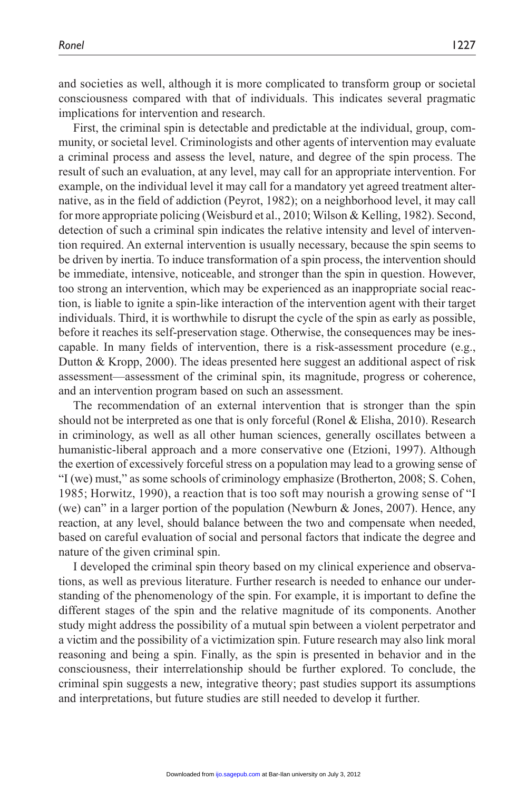and societies as well, although it is more complicated to transform group or societal consciousness compared with that of individuals. This indicates several pragmatic implications for intervention and research.

First, the criminal spin is detectable and predictable at the individual, group, community, or societal level. Criminologists and other agents of intervention may evaluate a criminal process and assess the level, nature, and degree of the spin process. The result of such an evaluation, at any level, may call for an appropriate intervention. For example, on the individual level it may call for a mandatory yet agreed treatment alternative, as in the field of addiction (Peyrot, 1982); on a neighborhood level, it may call for more appropriate policing (Weisburd et al., 2010; Wilson & Kelling, 1982). Second, detection of such a criminal spin indicates the relative intensity and level of intervention required. An external intervention is usually necessary, because the spin seems to be driven by inertia. To induce transformation of a spin process, the intervention should be immediate, intensive, noticeable, and stronger than the spin in question. However, too strong an intervention, which may be experienced as an inappropriate social reaction, is liable to ignite a spin-like interaction of the intervention agent with their target individuals. Third, it is worthwhile to disrupt the cycle of the spin as early as possible, before it reaches its self-preservation stage. Otherwise, the consequences may be inescapable. In many fields of intervention, there is a risk-assessment procedure (e.g., Dutton & Kropp, 2000). The ideas presented here suggest an additional aspect of risk assessment—assessment of the criminal spin, its magnitude, progress or coherence, and an intervention program based on such an assessment.

The recommendation of an external intervention that is stronger than the spin should not be interpreted as one that is only forceful (Ronel & Elisha, 2010). Research in criminology, as well as all other human sciences, generally oscillates between a humanistic-liberal approach and a more conservative one (Etzioni, 1997). Although the exertion of excessively forceful stress on a population may lead to a growing sense of "I (we) must," as some schools of criminology emphasize (Brotherton, 2008; S. Cohen, 1985; Horwitz, 1990), a reaction that is too soft may nourish a growing sense of "I (we) can" in a larger portion of the population (Newburn & Jones, 2007). Hence, any reaction, at any level, should balance between the two and compensate when needed, based on careful evaluation of social and personal factors that indicate the degree and nature of the given criminal spin.

I developed the criminal spin theory based on my clinical experience and observations, as well as previous literature. Further research is needed to enhance our understanding of the phenomenology of the spin. For example, it is important to define the different stages of the spin and the relative magnitude of its components. Another study might address the possibility of a mutual spin between a violent perpetrator and a victim and the possibility of a victimization spin. Future research may also link moral reasoning and being a spin. Finally, as the spin is presented in behavior and in the consciousness, their interrelationship should be further explored. To conclude, the criminal spin suggests a new, integrative theory; past studies support its assumptions and interpretations, but future studies are still needed to develop it further.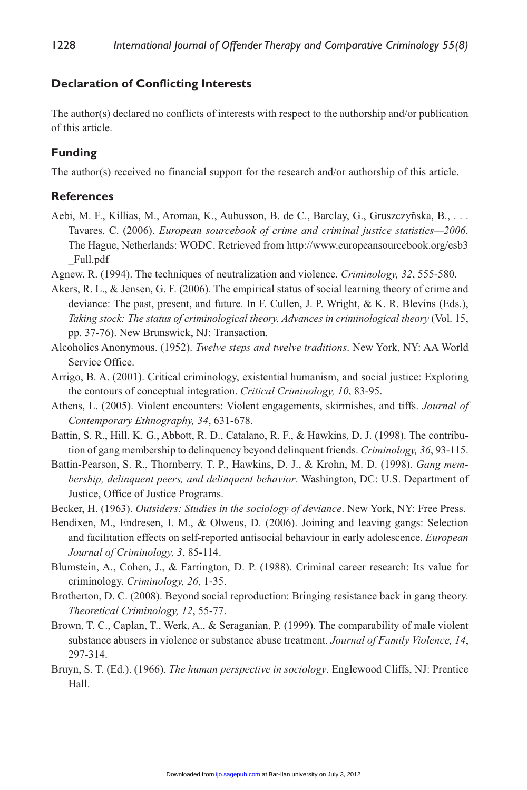#### **Declaration of Conflicting Interests**

The author(s) declared no conflicts of interests with respect to the authorship and/or publication of this article.

#### **Funding**

The author(s) received no financial support for the research and/or authorship of this article.

#### **References**

- Aebi, M. F., Killias, M., Aromaa, K., Aubusson, B. de C., Barclay, G., Gruszczyñska, B., . . . Tavares, C. (2006). *European sourcebook of crime and criminal justice statistics—2006*. The Hague, Netherlands: WODC. Retrieved from http://www.europeansourcebook.org/esb3 \_Full.pdf
- Agnew, R. (1994). The techniques of neutralization and violence. *Criminology, 32*, 555-580.
- Akers, R. L., & Jensen, G. F. (2006). The empirical status of social learning theory of crime and deviance: The past, present, and future. In F. Cullen, J. P. Wright, & K. R. Blevins (Eds.), *Taking stock: The status of criminological theory. Advances in criminological theory* (Vol. 15, pp. 37-76). New Brunswick, NJ: Transaction.
- Alcoholics Anonymous. (1952). *Twelve steps and twelve traditions*. New York, NY: AA World Service Office.
- Arrigo, B. A. (2001). Critical criminology, existential humanism, and social justice: Exploring the contours of conceptual integration. *Critical Criminology, 10*, 83-95.
- Athens, L. (2005). Violent encounters: Violent engagements, skirmishes, and tiffs. *Journal of Contemporary Ethnography, 34*, 631-678.
- Battin, S. R., Hill, K. G., Abbott, R. D., Catalano, R. F., & Hawkins, D. J. (1998). The contribution of gang membership to delinquency beyond delinquent friends. *Criminology, 36*, 93-115.
- Battin-Pearson, S. R., Thornberry, T. P., Hawkins, D. J., & Krohn, M. D. (1998). *Gang membership, delinquent peers, and delinquent behavior*. Washington, DC: U.S. Department of Justice, Office of Justice Programs.
- Becker, H. (1963). *Outsiders: Studies in the sociology of deviance*. New York, NY: Free Press.
- Bendixen, M., Endresen, I. M., & Olweus, D. (2006). Joining and leaving gangs: Selection and facilitation effects on self-reported antisocial behaviour in early adolescence. *European Journal of Criminology, 3*, 85-114.
- Blumstein, A., Cohen, J., & Farrington, D. P. (1988). Criminal career research: Its value for criminology. *Criminology, 26*, 1-35.
- Brotherton, D. C. (2008). Beyond social reproduction: Bringing resistance back in gang theory. *Theoretical Criminology, 12*, 55-77.
- Brown, T. C., Caplan, T., Werk, A., & Seraganian, P. (1999). The comparability of male violent substance abusers in violence or substance abuse treatment. *Journal of Family Violence, 14*, 297-314.
- Bruyn, S. T. (Ed.). (1966). *The human perspective in sociology*. Englewood Cliffs, NJ: Prentice Hall.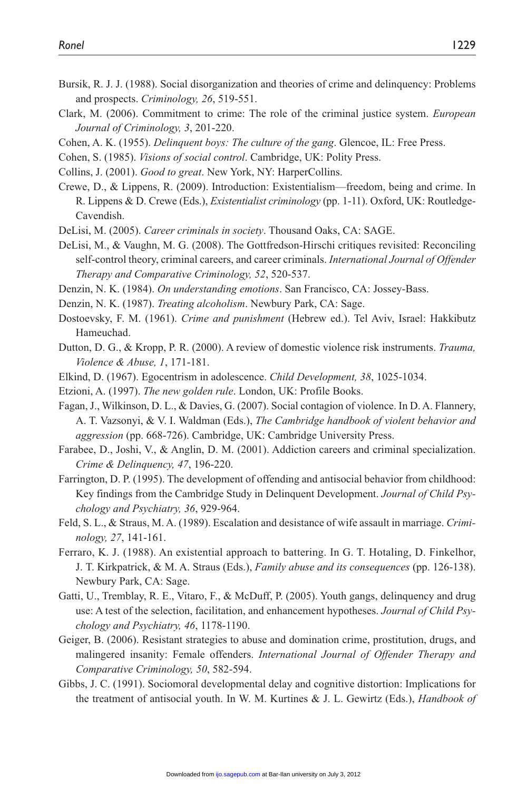- Bursik, R. J. J. (1988). Social disorganization and theories of crime and delinquency: Problems and prospects. *Criminology, 26*, 519-551.
- Clark, M. (2006). Commitment to crime: The role of the criminal justice system. *European Journal of Criminology, 3*, 201-220.
- Cohen, A. K. (1955). *Delinquent boys: The culture of the gang*. Glencoe, IL: Free Press.
- Cohen, S. (1985). *Visions of social control*. Cambridge, UK: Polity Press.
- Collins, J. (2001). *Good to great*. New York, NY: HarperCollins.
- Crewe, D., & Lippens, R. (2009). Introduction: Existentialism—freedom, being and crime. In R. Lippens & D. Crewe (Eds.), *Existentialist criminology* (pp. 1-11). Oxford, UK: Routledge-Cavendish.
- DeLisi, M. (2005). *Career criminals in society*. Thousand Oaks, CA: Sage.
- DeLisi, M., & Vaughn, M. G. (2008). The Gottfredson-Hirschi critiques revisited: Reconciling self-control theory, criminal careers, and career criminals. *International Journal of Offender Therapy and Comparative Criminology, 52*, 520-537.
- Denzin, N. K. (1984). *On understanding emotions*. San Francisco, CA: Jossey-Bass.
- Denzin, N. K. (1987). *Treating alcoholism*. Newbury Park, CA: Sage.
- Dostoevsky, F. M. (1961). *Crime and punishment* (Hebrew ed.). Tel Aviv, Israel: Hakkibutz Hameuchad.
- Dutton, D. G., & Kropp, P. R. (2000). A review of domestic violence risk instruments. *Trauma, Violence & Abuse, 1*, 171-181.
- Elkind, D. (1967). Egocentrism in adolescence. *Child Development, 38*, 1025-1034.
- Etzioni, A. (1997). *The new golden rule*. London, UK: Profile Books.
- Fagan, J., Wilkinson, D. L., & Davies, G. (2007). Social contagion of violence. In D. A. Flannery, A. T. Vazsonyi, & V. I. Waldman (Eds.), *The Cambridge handbook of violent behavior and aggression* (pp. 668-726). Cambridge, UK: Cambridge University Press.
- Farabee, D., Joshi, V., & Anglin, D. M. (2001). Addiction careers and criminal specialization. *Crime & Delinquency, 47*, 196-220.
- Farrington, D. P. (1995). The development of offending and antisocial behavior from childhood: Key findings from the Cambridge Study in Delinquent Development. *Journal of Child Psychology and Psychiatry, 36*, 929-964.
- Feld, S. L., & Straus, M. A. (1989). Escalation and desistance of wife assault in marriage. *Criminology, 27*, 141-161.
- Ferraro, K. J. (1988). An existential approach to battering. In G. T. Hotaling, D. Finkelhor, J. T. Kirkpatrick, & M. A. Straus (Eds.), *Family abuse and its consequences* (pp. 126-138). Newbury Park, CA: Sage.
- Gatti, U., Tremblay, R. E., Vitaro, F., & McDuff, P. (2005). Youth gangs, delinquency and drug use: A test of the selection, facilitation, and enhancement hypotheses. *Journal of Child Psychology and Psychiatry, 46*, 1178-1190.
- Geiger, B. (2006). Resistant strategies to abuse and domination crime, prostitution, drugs, and malingered insanity: Female offenders. *International Journal of Offender Therapy and Comparative Criminology, 50*, 582-594.
- Gibbs, J. C. (1991). Sociomoral developmental delay and cognitive distortion: Implications for the treatment of antisocial youth. In W. M. Kurtines & J. L. Gewirtz (Eds.), *Handbook of*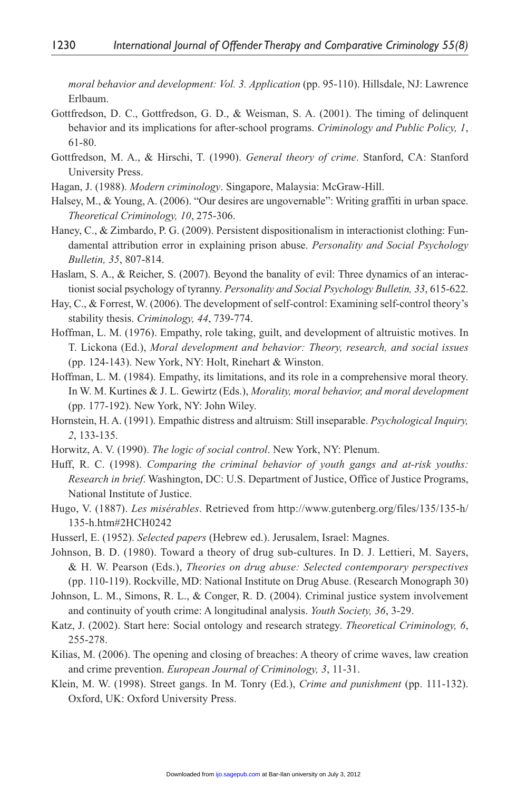*moral behavior and development: Vol. 3. Application* (pp. 95-110). Hillsdale, NJ: Lawrence Erlbaum.

- Gottfredson, D. C., Gottfredson, G. D., & Weisman, S. A. (2001). The timing of delinquent behavior and its implications for after-school programs. *Criminology and Public Policy, 1*, 61-80.
- Gottfredson, M. A., & Hirschi, T. (1990). *General theory of crime*. Stanford, CA: Stanford University Press.
- Hagan, J. (1988). *Modern criminology*. Singapore, Malaysia: McGraw-Hill.
- Halsey, M., & Young, A. (2006). "Our desires are ungovernable": Writing graffiti in urban space. *Theoretical Criminology, 10*, 275-306.
- Haney, C., & Zimbardo, P. G. (2009). Persistent dispositionalism in interactionist clothing: Fundamental attribution error in explaining prison abuse. *Personality and Social Psychology Bulletin, 35*, 807-814.
- Haslam, S. A., & Reicher, S. (2007). Beyond the banality of evil: Three dynamics of an interactionist social psychology of tyranny. *Personality and Social Psychology Bulletin, 33*, 615-622.
- Hay, C., & Forrest, W. (2006). The development of self-control: Examining self-control theory's stability thesis. *Criminology, 44*, 739-774.
- Hoffman, L. M. (1976). Empathy, role taking, guilt, and development of altruistic motives. In T. Lickona (Ed.), *Moral development and behavior: Theory, research, and social issues* (pp. 124-143). New York, NY: Holt, Rinehart & Winston.
- Hoffman, L. M. (1984). Empathy, its limitations, and its role in a comprehensive moral theory. In W. M. Kurtines & J. L. Gewirtz (Eds.), *Morality, moral behavior, and moral development* (pp. 177-192). New York, NY: John Wiley.
- Hornstein, H. A. (1991). Empathic distress and altruism: Still inseparable. *Psychological Inquiry, 2*, 133-135.
- Horwitz, A. V. (1990). *The logic of social control*. New York, NY: Plenum.
- Huff, R. C. (1998). *Comparing the criminal behavior of youth gangs and at-risk youths: Research in brief*. Washington, DC: U.S. Department of Justice, Office of Justice Programs, National Institute of Justice.
- Hugo, V. (1887). *Les misérables*. Retrieved from http://www.gutenberg.org/files/135/135-h/ 135-h.htm#2HCH0242
- Husserl, E. (1952). *Selected papers* (Hebrew ed.). Jerusalem, Israel: Magnes.
- Johnson, B. D. (1980). Toward a theory of drug sub-cultures. In D. J. Lettieri, M. Sayers, & H. W. Pearson (Eds.), *Theories on drug abuse: Selected contemporary perspectives* (pp. 110-119). Rockville, MD: National Institute on Drug Abuse. (Research Monograph 30)
- Johnson, L. M., Simons, R. L., & Conger, R. D. (2004). Criminal justice system involvement and continuity of youth crime: A longitudinal analysis. *Youth Society, 36*, 3-29.
- Katz, J. (2002). Start here: Social ontology and research strategy. *Theoretical Criminology, 6*, 255-278.
- Kilias, M. (2006). The opening and closing of breaches: A theory of crime waves, law creation and crime prevention. *European Journal of Criminology, 3*, 11-31.
- Klein, M. W. (1998). Street gangs. In M. Tonry (Ed.), *Crime and punishment* (pp. 111-132). Oxford, UK: Oxford University Press.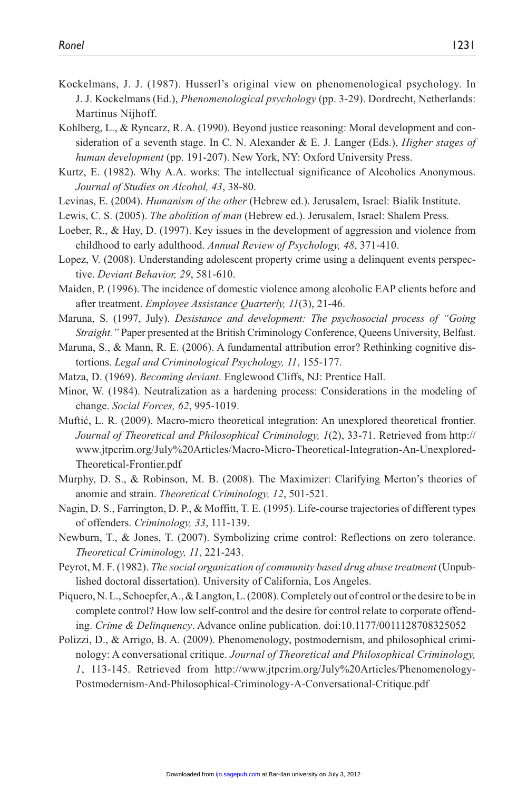- Kockelmans, J. J. (1987). Husserl's original view on phenomenological psychology. In J. J. Kockelmans (Ed.), *Phenomenological psychology* (pp. 3-29). Dordrecht, Netherlands: Martinus Nijhoff.
- Kohlberg, L., & Ryncarz, R. A. (1990). Beyond justice reasoning: Moral development and consideration of a seventh stage. In C. N. Alexander & E. J. Langer (Eds.), *Higher stages of human development* (pp. 191-207). New York, NY: Oxford University Press.
- Kurtz, E. (1982). Why A.A. works: The intellectual significance of Alcoholics Anonymous. *Journal of Studies on Alcohol, 43*, 38-80.
- Levinas, E. (2004). *Humanism of the other* (Hebrew ed.). Jerusalem, Israel: Bialik Institute.
- Lewis, C. S. (2005). *The abolition of man* (Hebrew ed.). Jerusalem, Israel: Shalem Press.
- Loeber, R., & Hay, D. (1997). Key issues in the development of aggression and violence from childhood to early adulthood. *Annual Review of Psychology, 48*, 371-410.
- Lopez, V. (2008). Understanding adolescent property crime using a delinquent events perspective. *Deviant Behavior, 29*, 581-610.
- Maiden, P. (1996). The incidence of domestic violence among alcoholic EAP clients before and after treatment. *Employee Assistance Quarterly, 11*(3), 21-46.
- Maruna, S. (1997, July). *Desistance and development: The psychosocial process of "Going Straight."* Paper presented at the British Criminology Conference, Queens University, Belfast.
- Maruna, S., & Mann, R. E. (2006). A fundamental attribution error? Rethinking cognitive distortions. *Legal and Criminological Psychology, 11*, 155-177.
- Matza, D. (1969). *Becoming deviant*. Englewood Cliffs, NJ: Prentice Hall.
- Minor, W. (1984). Neutralization as a hardening process: Considerations in the modeling of change. *Social Forces, 62*, 995-1019.
- Muftić, L. R. (2009). Macro-micro theoretical integration: An unexplored theoretical frontier. *Journal of Theoretical and Philosophical Criminology, 1*(2), 33-71. Retrieved from http:// www.jtpcrim.org/July%20Articles/Macro-Micro-Theoretical-Integration-An-Unexplored-Theoretical-Frontier.pdf
- Murphy, D. S., & Robinson, M. B. (2008). The Maximizer: Clarifying Merton's theories of anomie and strain. *Theoretical Criminology, 12*, 501-521.
- Nagin, D. S., Farrington, D. P., & Moffitt, T. E. (1995). Life-course trajectories of different types of offenders. *Criminology, 33*, 111-139.
- Newburn, T., & Jones, T. (2007). Symbolizing crime control: Reflections on zero tolerance. *Theoretical Criminology, 11*, 221-243.
- Peyrot, M. F. (1982). *The social organization of community based drug abuse treatment* (Unpublished doctoral dissertation). University of California, Los Angeles.
- Piquero, N. L., Schoepfer, A., & Langton, L. (2008). Completely out of control or the desire to be in complete control? How low self-control and the desire for control relate to corporate offending. *Crime & Delinquency*. Advance online publication. doi:10.1177/0011128708325052
- Polizzi, D., & Arrigo, B. A. (2009). Phenomenology, postmodernism, and philosophical criminology: A conversational critique. *Journal of Theoretical and Philosophical Criminology, 1*, 113-145. Retrieved from http://www.jtpcrim.org/July%20Articles/Phenomenology-Postmodernism-And-Philosophical-Criminology-A-Conversational-Critique.pdf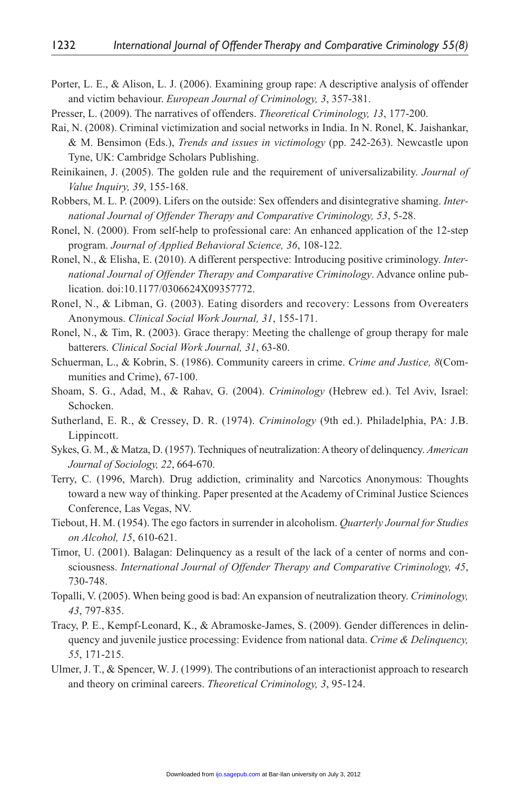- Porter, L. E., & Alison, L. J. (2006). Examining group rape: A descriptive analysis of offender and victim behaviour. *European Journal of Criminology, 3*, 357-381.
- Presser, L. (2009). The narratives of offenders. *Theoretical Criminology, 13*, 177-200.
- Rai, N. (2008). Criminal victimization and social networks in India. In N. Ronel, K. Jaishankar, & M. Bensimon (Eds.), *Trends and issues in victimology* (pp. 242-263). Newcastle upon Tyne, UK: Cambridge Scholars Publishing.
- Reinikainen, J. (2005). The golden rule and the requirement of universalizability. *Journal of Value Inquiry, 39*, 155-168.
- Robbers, M. L. P. (2009). Lifers on the outside: Sex offenders and disintegrative shaming. *International Journal of Offender Therapy and Comparative Criminology, 53*, 5-28.
- Ronel, N. (2000). From self-help to professional care: An enhanced application of the 12-step program. *Journal of Applied Behavioral Science, 36*, 108-122.
- Ronel, N., & Elisha, E. (2010). A different perspective: Introducing positive criminology. *International Journal of Offender Therapy and Comparative Criminology*. Advance online publication. doi:10.1177/0306624X09357772.
- Ronel, N., & Libman, G. (2003). Eating disorders and recovery: Lessons from Overeaters Anonymous. *Clinical Social Work Journal, 31*, 155-171.
- Ronel, N., & Tim, R. (2003). Grace therapy: Meeting the challenge of group therapy for male batterers. *Clinical Social Work Journal, 31*, 63-80.
- Schuerman, L., & Kobrin, S. (1986). Community careers in crime. *Crime and Justice, 8*(Communities and Crime), 67-100.
- Shoam, S. G., Adad, M., & Rahav, G. (2004). *Criminology* (Hebrew ed.). Tel Aviv, Israel: Schocken.
- Sutherland, E. R., & Cressey, D. R. (1974). *Criminology* (9th ed.). Philadelphia, PA: J.B. Lippincott.
- Sykes, G. M., & Matza, D. (1957). Techniques of neutralization: A theory of delinquency. *American Journal of Sociology, 22*, 664-670.
- Terry, C. (1996, March). Drug addiction, criminality and Narcotics Anonymous: Thoughts toward a new way of thinking. Paper presented at the Academy of Criminal Justice Sciences Conference, Las Vegas, NV.
- Tiebout, H. M. (1954). The ego factors in surrender in alcoholism. *Quarterly Journal for Studies on Alcohol, 15*, 610-621.
- Timor, U. (2001). Balagan: Delinquency as a result of the lack of a center of norms and consciousness. *International Journal of Offender Therapy and Comparative Criminology, 45*, 730-748.
- Topalli, V. (2005). When being good is bad: An expansion of neutralization theory. *Criminology, 43*, 797-835.
- Tracy, P. E., Kempf-Leonard, K., & Abramoske-James, S. (2009). Gender differences in delinquency and juvenile justice processing: Evidence from national data. *Crime & Delinquency, 55*, 171-215.
- Ulmer, J. T., & Spencer, W. J. (1999). The contributions of an interactionist approach to research and theory on criminal careers. *Theoretical Criminology, 3*, 95-124.